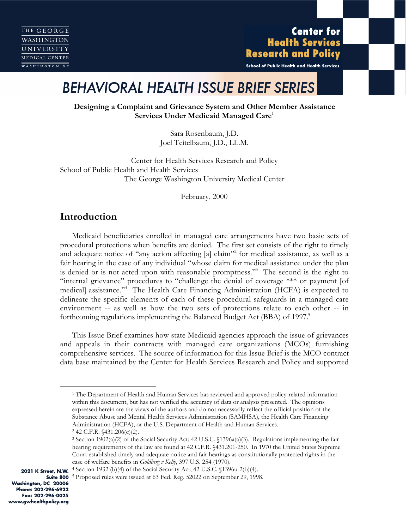# **Center for Health Services Research and Policy**

School of Public Health and Health Services

# *BEHAVIORAL HEALTH ISSUE BRIEF SERIES*

**Designing a Complaint and Grievance System and Other Member Assistance Services Under Medicaid Managed Care**<sup>1</sup>

> Sara Rosenbaum, J.D. Joel Teitelbaum, J.D., LL.M.

Center for Health Services Research and Policy School of Public Health and Health Services The George Washington University Medical Center

February, 2000

# **Introduction**

Medicaid beneficiaries enrolled in managed care arrangements have two basic sets of procedural protections when benefits are denied. The first set consists of the right to timely and adequate notice of "any action affecting [a] claim"<sup>2</sup> for medical assistance, as well as a fair hearing in the case of any individual "whose claim for medical assistance under the plan is denied or is not acted upon with reasonable promptness."<sup>3</sup> The second is the right to "internal grievance" procedures to "challenge the denial of coverage \*\*\* or payment [of medical] assistance."4 The Health Care Financing Administration (HCFA) is expected to delineate the specific elements of each of these procedural safeguards in a managed care environment -- as well as how the two sets of protections relate to each other -- in forthcoming regulations implementing the Balanced Budget Act (BBA) of 1997.<sup>5</sup>

This Issue Brief examines how state Medicaid agencies approach the issue of grievances and appeals in their contracts with managed care organizations (MCOs) furnishing comprehensive services. The source of information for this Issue Brief is the MCO contract data base maintained by the Center for Health Services Research and Policy and supported

Washington, DC 20006 Phone: 202-296-6922 Fax: 202-296-0025 www.gwhealthpolicy.org

<sup>&</sup>lt;sup>1</sup> The Department of Health and Human Services has reviewed and approved policy-related information within this document, but has not verified the accuracy of data or analysis presented. The opinions expressed herein are the views of the authors and do not necessarily reflect the official position of the Substance Abuse and Mental Health Services Administration (SAMHSA), the Health Care Financing Administration (HCFA), or the U.S. Department of Health and Human Services.

<sup>2 42</sup> C.F.R. §431.206(c)(2).

<sup>&</sup>lt;sup>3</sup> Section 1902(a)(2) of the Social Security Act; 42 U.S.C.  $\{1396a(a)(3)$ . Regulations implementing the fair hearing requirements of the law are found at 42 C.F.R. §431.201-250. In 1970 the United States Supreme Court established timely and adequate notice and fair hearings as constitutionally protected rights in the case of welfare benefits in *Goldberg v Kelly*, 397 U.S. 254 (1970).

<sup>2021</sup> K Street, N.W. <sup>4</sup> Section 1932 (b)(4) of the Social Security Act; 42 U.S.C. §1396u-2(b)(4).

Suite 800<sup>5</sup> Proposed rules were issued at 63 Fed. Reg. 52022 on September 29, 1998.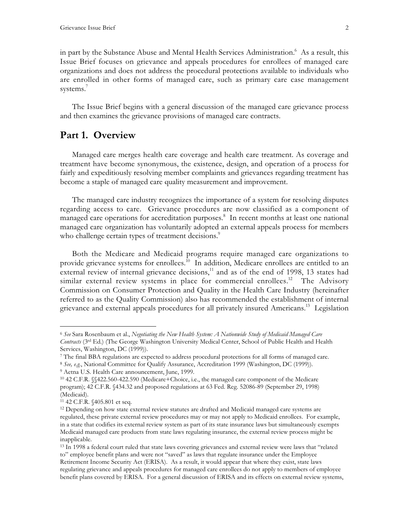in part by the Substance Abuse and Mental Health Services Administration.<sup>6</sup> As a result, this Issue Brief focuses on grievance and appeals procedures for enrollees of managed care organizations and does not address the procedural protections available to individuals who are enrolled in other forms of managed care, such as primary care case management systems.<sup>7</sup>

The Issue Brief begins with a general discussion of the managed care grievance process and then examines the grievance provisions of managed care contracts.

# **Part 1. Overview**

Managed care merges health care coverage and health care treatment. As coverage and treatment have become synonymous, the existence, design, and operation of a process for fairly and expeditiously resolving member complaints and grievances regarding treatment has become a staple of managed care quality measurement and improvement.

The managed care industry recognizes the importance of a system for resolving disputes regarding access to care. Grievance procedures are now classified as a component of managed care operations for accreditation purposes.<sup>8</sup> In recent months at least one national managed care organization has voluntarily adopted an external appeals process for members who challenge certain types of treatment decisions.<sup>9</sup>

Both the Medicare and Medicaid programs require managed care organizations to provide grievance systems for enrollees.<sup>10</sup> In addition, Medicare enrollees are entitled to an external review of internal grievance decisions, $\frac{11}{11}$  and as of the end of 1998, 13 states had similar external review systems in place for commercial enrollees.<sup>12</sup> The Advisory Commission on Consumer Protection and Quality in the Health Care Industry (hereinafter referred to as the Quality Commission) also has recommended the establishment of internal grievance and external appeals procedures for all privately insured Americans.<sup>13</sup> Legislation

<sup>8</sup> *See, e.g.*, National Committee for Qualify Assurance, Accreditation 1999 (Washington, DC (1999)).

 <sup>6</sup> *See* Sara Rosenbaum et al., *Negotiating the New Health System: A Nationwide Study of Medicaid Managed Care Contracts* (3rd Ed.) (The George Washington University Medical Center, School of Public Health and Health Services, Washington, DC (1999)).

<sup>7</sup> The final BBA regulations are expected to address procedural protections for all forms of managed care.

<sup>9</sup> Aetna U.S. Health Care announcement, June, 1999.

<sup>10 42</sup> C.F.R. §§422.560-422.590 (Medicare+Choice, i.e., the managed care component of the Medicare program); 42 C.F.R. §434.32 and proposed regulations at 63 Fed. Reg. 52086-89 (September 29, 1998) (Medicaid).

<sup>11 42</sup> C.F.R. §405.801 et seq.

<sup>&</sup>lt;sup>12</sup> Depending on how state external review statutes are drafted and Medicaid managed care systems are regulated, these private external review procedures may or may not apply to Medicaid enrollees. For example, in a state that codifies its external review system as part of its state insurance laws but simultaneously exempts Medicaid managed care products from state laws regulating insurance, the external review process might be inapplicable.

<sup>&</sup>lt;sup>13</sup> In 1998 a federal court ruled that state laws covering grievances and external review were laws that "related to" employee benefit plans and were not "saved" as laws that regulate insurance under the Employee Retirement Income Security Act (ERISA). As a result, it would appear that where they exist, state laws regulating grievance and appeals procedures for managed care enrollees do not apply to members of employee benefit plans covered by ERISA. For a general discussion of ERISA and its effects on external review systems,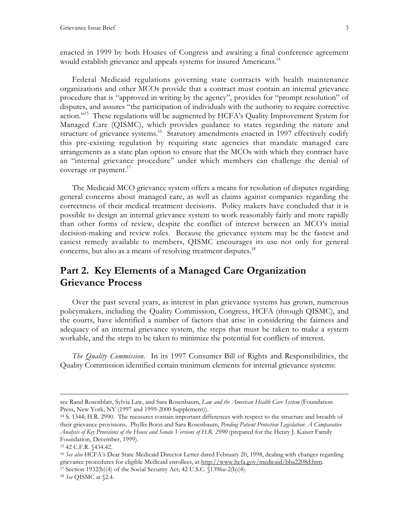enacted in 1999 by both Houses of Congress and awaiting a final conference agreement would establish grievance and appeals systems for insured Americans.<sup>14</sup>

Federal Medicaid regulations governing state contracts with health maintenance organizations and other MCOs provide that a contract must contain an internal grievance procedure that is "approved in writing by the agency", provides for "prompt resolution" of disputes, and assures "the participation of individuals with the authority to require corrective action."<sup>15</sup> These regulations will be augmented by HCFA's Quality Improvement System for Managed Care (QISMC), which provides guidance to states regarding the nature and structure of grievance systems.<sup>16</sup> Statutory amendments enacted in 1997 effectively codify this pre-existing regulation by requiring state agencies that mandate managed care arrangements as a state plan option to ensure that the MCOs with which they contract have an "internal grievance procedure" under which members can challenge the denial of coverage or payment. $17$ 

The Medicaid MCO grievance system offers a means for resolution of disputes regarding general concerns about managed care, as well as claims against companies regarding the correctness of their medical treatment decisions. Policy makers have concluded that it is possible to design an internal grievance system to work reasonably fairly and more rapidly than other forms of review, despite the conflict of interest between an MCO's initial decision-making and review roles. Because the grievance system may be the fastest and easiest remedy available to members, QISMC encourages its use not only for general concerns, but also as a means of resolving treatment disputes.<sup>18</sup>

# **Part 2. Key Elements of a Managed Care Organization Grievance Process**

Over the past several years, as interest in plan grievance systems has grown, numerous policymakers, including the Quality Commission, Congress, HCFA (through QISMC), and the courts, have identified a number of factors that arise in considering the fairness and adequacy of an internal grievance system, the steps that must be taken to make a system workable, and the steps to be taken to minimize the potential for conflicts of interest.

*The Quality Commission.* In its 1997 Consumer Bill of Rights and Responsibilities, the Quality Commission identified certain minimum elements for internal grievance systems:

see Rand Rosenblatt, Sylvia Law, and Sara Rosenbaum, *Law and the American Health Care System* (Foundation Press, New York, NY (1997 and 1999-2000 Supplement)).

<sup>14</sup> S. 1344; H.R. 2990. The measures contain important differences with respect to the structure and breadth of their grievance provisions. Phyllis Borzi and Sara Rosenbaum, *Pending Patient Protection Legislation: A Comparative Analysis of Key Provisions of the House and Senate Versions of H.R. 2990* (prepared for the Henry J. Kaiser Family Foundation, December, 1999).

<sup>15 42</sup> C.F.R. §434.42.

<sup>16</sup> *See also* HCFA's Dear State Medicaid Director Letter dated February 20, 1998, dealing with changes regarding grievance procedures for eligible Medicaid enrollees, at http://www.hcfa.gov/medicaid/bba2208d.htm. 17 Section 1932(b)(4) of the Social Security Act; 42 U.S.C. §1396u-2(b)(4).

<sup>18</sup> *See* QISMC at §2.4.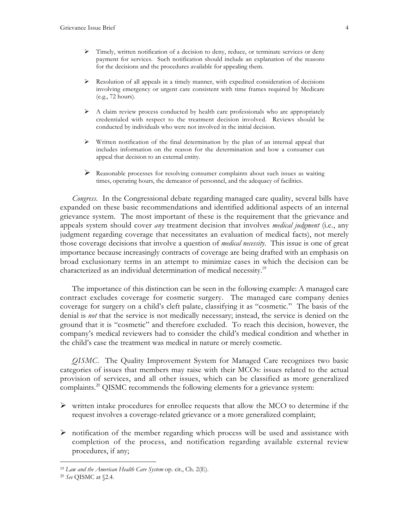- Timely, written notification of a decision to deny, reduce, or terminate services or deny payment for services. Such notification should include an explanation of the reasons for the decisions and the procedures available for appealing them.
- $\triangleright$  Resolution of all appeals in a timely manner, with expedited consideration of decisions involving emergency or urgent care consistent with time frames required by Medicare (e.g., 72 hours).
- $\triangleright$  A claim review process conducted by health care professionals who are appropriately credentialed with respect to the treatment decision involved. Reviews should be conducted by individuals who were not involved in the initial decision.
- $\triangleright$  Written notification of the final determination by the plan of an internal appeal that includes information on the reason for the determination and how a consumer can appeal that decision to an external entity.
- Reasonable processes for resolving consumer complaints about such issues as waiting times, operating hours, the demeanor of personnel, and the adequacy of facilities.

*Congress*. In the Congressional debate regarding managed care quality, several bills have expanded on these basic recommendations and identified additional aspects of an internal grievance system. The most important of these is the requirement that the grievance and appeals system should cover *any* treatment decision that involves *medical judgment* (i.e., any judgment regarding coverage that necessitates an evaluation of medical facts), not merely those coverage decisions that involve a question of *medical necessity*. This issue is one of great importance because increasingly contracts of coverage are being drafted with an emphasis on broad exclusionary terms in an attempt to minimize cases in which the decision can be characterized as an individual determination of medical necessity.<sup>19</sup>

The importance of this distinction can be seen in the following example: A managed care contract excludes coverage for cosmetic surgery. The managed care company denies coverage for surgery on a child's cleft palate, classifying it as "cosmetic." The basis of the denial is *not* that the service is not medically necessary; instead, the service is denied on the ground that it is "cosmetic" and therefore excluded. To reach this decision, however, the company's medical reviewers had to consider the child's medical condition and whether in the child's case the treatment was medical in nature or merely cosmetic.

*QISMC*. The Quality Improvement System for Managed Care recognizes two basic categories of issues that members may raise with their MCOs: issues related to the actual provision of services, and all other issues, which can be classified as more generalized complaints.20 QISMC recommends the following elements for a grievance system:

- $\triangleright$  written intake procedures for enrollee requests that allow the MCO to determine if the request involves a coverage-related grievance or a more generalized complaint;
- $\triangleright$  notification of the member regarding which process will be used and assistance with completion of the process, and notification regarding available external review procedures, if any;

 <sup>19</sup> *Law and the American Health Care System* op. cit., Ch. 2(E).

<sup>20</sup> *See* QISMC at §2.4.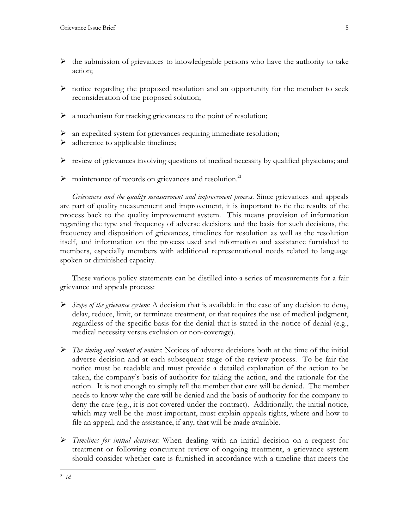- $\triangleright$  the submission of grievances to knowledgeable persons who have the authority to take action;
- $\triangleright$  notice regarding the proposed resolution and an opportunity for the member to seek reconsideration of the proposed solution;
- $\triangleright$  a mechanism for tracking grievances to the point of resolution;
- an expedited system for grievances requiring immediate resolution;
- $\triangleright$  adherence to applicable timelines;
- $\triangleright$  review of grievances involving questions of medical necessity by qualified physicians; and
- $\triangleright$  maintenance of records on grievances and resolution.<sup>21</sup>

*Grievances and the quality measurement and improvement process.* Since grievances and appeals are part of quality measurement and improvement, it is important to tie the results of the process back to the quality improvement system. This means provision of information regarding the type and frequency of adverse decisions and the basis for such decisions, the frequency and disposition of grievances, timelines for resolution as well as the resolution itself, and information on the process used and information and assistance furnished to members, especially members with additional representational needs related to language spoken or diminished capacity.

These various policy statements can be distilled into a series of measurements for a fair grievance and appeals process:

- *Scope of the grievance system:* A decision that is available in the case of any decision to deny, delay, reduce, limit, or terminate treatment, or that requires the use of medical judgment, regardless of the specific basis for the denial that is stated in the notice of denial (e.g., medical necessity versus exclusion or non-coverage).
- *The timing and content of notices*: Notices of adverse decisions both at the time of the initial adverse decision and at each subsequent stage of the review process. To be fair the notice must be readable and must provide a detailed explanation of the action to be taken, the company's basis of authority for taking the action, and the rationale for the action. It is not enough to simply tell the member that care will be denied. The member needs to know why the care will be denied and the basis of authority for the company to deny the care (e.g., it is not covered under the contract). Additionally, the initial notice, which may well be the most important, must explain appeals rights, where and how to file an appeal, and the assistance, if any, that will be made available.
- *Timelines for initial decisions:* When dealing with an initial decision on a request for treatment or following concurrent review of ongoing treatment, a grievance system should consider whether care is furnished in accordance with a timeline that meets the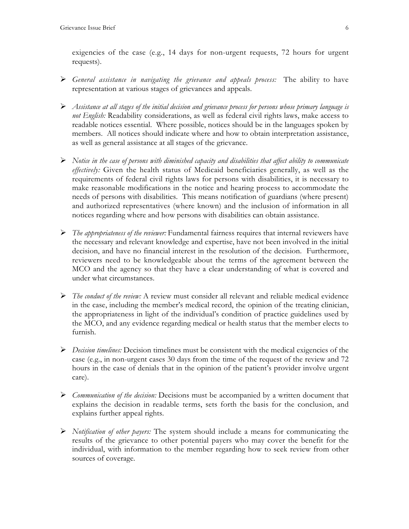exigencies of the case (e.g., 14 days for non-urgent requests, 72 hours for urgent requests).

- *General assistance in navigating the grievance and appeals process:* The ability to have representation at various stages of grievances and appeals.
- *Assistance at all stages of the initial decision and grievance process for persons whose primary language is not English:* Readability considerations, as well as federal civil rights laws, make access to readable notices essential. Where possible, notices should be in the languages spoken by members. All notices should indicate where and how to obtain interpretation assistance, as well as general assistance at all stages of the grievance.
- *Notice in the case of persons with diminished capacity and disabilities that affect ability to communicate effectively:* Given the health status of Medicaid beneficiaries generally, as well as the requirements of federal civil rights laws for persons with disabilities, it is necessary to make reasonable modifications in the notice and hearing process to accommodate the needs of persons with disabilities. This means notification of guardians (where present) and authorized representatives (where known) and the inclusion of information in all notices regarding where and how persons with disabilities can obtain assistance.
- *The appropriateness of the reviewer:* Fundamental fairness requires that internal reviewers have the necessary and relevant knowledge and expertise, have not been involved in the initial decision, and have no financial interest in the resolution of the decision. Furthermore, reviewers need to be knowledgeable about the terms of the agreement between the MCO and the agency so that they have a clear understanding of what is covered and under what circumstances.
- *The conduct of the review:* A review must consider all relevant and reliable medical evidence in the case, including the member's medical record, the opinion of the treating clinician, the appropriateness in light of the individual's condition of practice guidelines used by the MCO, and any evidence regarding medical or health status that the member elects to furnish.
- *Decision timelines:* Decision timelines must be consistent with the medical exigencies of the case (e.g., in non-urgent cases 30 days from the time of the request of the review and 72 hours in the case of denials that in the opinion of the patient's provider involve urgent care).
- *Communication of the decision:* Decisions must be accompanied by a written document that explains the decision in readable terms, sets forth the basis for the conclusion, and explains further appeal rights.
- *Notification of other payers:* The system should include a means for communicating the results of the grievance to other potential payers who may cover the benefit for the individual, with information to the member regarding how to seek review from other sources of coverage.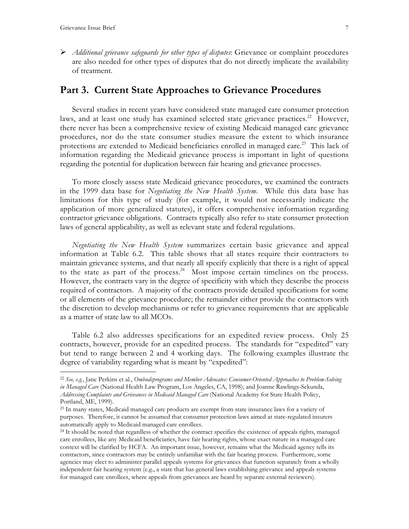*Additional grievance safeguards for other types of disputes*: Grievance or complaint procedures are also needed for other types of disputes that do not directly implicate the availability of treatment.

## **Part 3. Current State Approaches to Grievance Procedures**

Several studies in recent years have considered state managed care consumer protection laws, and at least one study has examined selected state grievance practices.<sup>22</sup> However, there never has been a comprehensive review of existing Medicaid managed care grievance procedures, nor do the state consumer studies measure the extent to which insurance protections are extended to Medicaid beneficiaries enrolled in managed care.<sup>23</sup> This lack of information regarding the Medicaid grievance process is important in light of questions regarding the potential for duplication between fair hearing and grievance processes.

To more closely assess state Medicaid grievance procedures, we examined the contracts in the 1999 data base for *Negotiating the New Health System.* While this data base has limitations for this type of study (for example, it would not necessarily indicate the application of more generalized statutes), it offers comprehensive information regarding contractor grievance obligations. Contracts typically also refer to state consumer protection laws of general applicability, as well as relevant state and federal regulations.

*Negotiating the New Health System* summarizes certain basic grievance and appeal information at Table 6.2. This table shows that all states require their contractors to maintain grievance systems, and that nearly all specify explicitly that there is a right of appeal to the state as part of the process.<sup>24</sup> Most impose certain timelines on the process. However, the contracts vary in the degree of specificity with which they describe the process required of contractors. A majority of the contracts provide detailed specifications for some or all elements of the grievance procedure; the remainder either provide the contractors with the discretion to develop mechanisms or refer to grievance requirements that are applicable as a matter of state law to all MCOs.

Table 6.2 also addresses specifications for an expedited review process. Only 25 contracts, however, provide for an expedited process. The standards for "expedited" vary but tend to range between 2 and 4 working days. The following examples illustrate the degree of variability regarding what is meant by "expedited":

 <sup>22</sup> *See, e.g.*, Jane Perkins et al., *Ombudsprograms and Member Advocates: Consumer-Oriented Approaches to Problem-Solving in Managed Care* (National Health Law Program, Los Angeles, CA, 1998); and Joanne Rawlings-Sekunda, *Addressing Complaints and Grievances in Medicaid Managed Care* (National Academy for State Health Policy, Portland, ME, 1999).

<sup>23</sup> In many states, Medicaid managed care products are exempt from state insurance laws for a variety of purposes. Therefore, it cannot be assumed that consumer protection laws aimed at state-regulated insurers automatically apply to Medicaid managed care enrollees.

<sup>&</sup>lt;sup>24</sup> It should be noted that regardless of whether the contract specifies the existence of appeals rights, managed care enrollees, like any Medicaid beneficiaries, have fair hearing rights, whose exact nature in a managed care context will be clarified by HCFA. An important issue, however, remains what the Medicaid agency tells its contractors, since contractors may be entirely unfamiliar with the fair hearing process. Furthermore, some agencies may elect to administer parallel appeals systems for grievances that function separately from a wholly independent fair hearing system (e.g., a state that has general laws establishing grievance and appeals systems for managed care enrollees, where appeals from grievances are heard by separate external reviewers).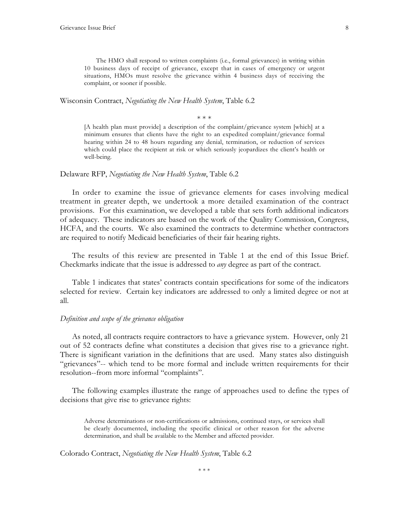The HMO shall respond to written complaints (i.e., formal grievances) in writing within 10 business days of receipt of grievance, except that in cases of emergency or urgent situations, HMOs must resolve the grievance within 4 business days of receiving the complaint, or sooner if possible.

Wisconsin Contract, *Negotiating the New Health System*, Table 6.2

\* \* \*

[A health plan must provide] a description of the complaint/grievance system [which] at a minimum ensures that clients have the right to an expedited complaint/grievance formal hearing within 24 to 48 hours regarding any denial, termination, or reduction of services which could place the recipient at risk or which seriously jeopardizes the client's health or well-being.

#### Delaware RFP, *Negotiating the New Health System*, Table 6.2

In order to examine the issue of grievance elements for cases involving medical treatment in greater depth, we undertook a more detailed examination of the contract provisions. For this examination, we developed a table that sets forth additional indicators of adequacy. These indicators are based on the work of the Quality Commission, Congress, HCFA, and the courts. We also examined the contracts to determine whether contractors are required to notify Medicaid beneficiaries of their fair hearing rights.

The results of this review are presented in Table 1 at the end of this Issue Brief. Checkmarks indicate that the issue is addressed to *any* degree as part of the contract.

Table 1 indicates that states' contracts contain specifications for some of the indicators selected for review. Certain key indicators are addressed to only a limited degree or not at all.

## *Definition and scope of the grievance obligation*

As noted, all contracts require contractors to have a grievance system. However, only 21 out of 52 contracts define what constitutes a decision that gives rise to a grievance right. There is significant variation in the definitions that are used. Many states also distinguish "grievances"-- which tend to be more formal and include written requirements for their resolution--from more informal "complaints".

The following examples illustrate the range of approaches used to define the types of decisions that give rise to grievance rights:

Adverse determinations or non-certifications or admissions, continued stays, or services shall be clearly documented, including the specific clinical or other reason for the adverse determination, and shall be available to the Member and affected provider.

Colorado Contract, *Negotiating the New Health System*, Table 6.2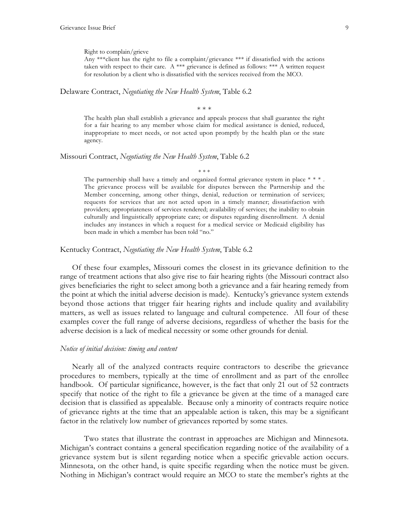#### Right to complain/grieve

Any \*\*\*client has the right to file a complaint/grievance \*\*\* if dissatisfied with the actions taken with respect to their care. A \*\*\* grievance is defined as follows: \*\*\* A written request for resolution by a client who is dissatisfied with the services received from the MCO.

### Delaware Contract, *Negotiating the New Health System*, Table 6.2

\* \* \*

The health plan shall establish a grievance and appeals process that shall guarantee the right for a fair hearing to any member whose claim for medical assistance is denied, reduced, inappropriate to meet needs, or not acted upon promptly by the health plan or the state agency.

#### Missouri Contract, *Negotiating the New Health System*, Table 6.2

\* \* \* The partnership shall have a timely and organized formal grievance system in place  $* * *$ . The grievance process will be available for disputes between the Partnership and the Member concerning, among other things, denial, reduction or termination of services; requests for services that are not acted upon in a timely manner; dissatisfaction with providers; appropriateness of services rendered; availability of services; the inability to obtain culturally and linguistically appropriate care; or disputes regarding disenrollment. A denial includes any instances in which a request for a medical service or Medicaid eligibility has been made in which a member has been told "no."

## Kentucky Contract, *Negotiating the New Health System*, Table 6.2

Of these four examples, Missouri comes the closest in its grievance definition to the range of treatment actions that also give rise to fair hearing rights (the Missouri contract also gives beneficiaries the right to select among both a grievance and a fair hearing remedy from the point at which the initial adverse decision is made). Kentucky's grievance system extends beyond those actions that trigger fair hearing rights and include quality and availability matters, as well as issues related to language and cultural competence. All four of these examples cover the full range of adverse decisions, regardless of whether the basis for the adverse decision is a lack of medical necessity or some other grounds for denial.

## *Notice of initial decision: timing and content*

Nearly all of the analyzed contracts require contractors to describe the grievance procedures to members, typically at the time of enrollment and as part of the enrollee handbook. Of particular significance, however, is the fact that only 21 out of 52 contracts specify that notice of the right to file a grievance be given at the time of a managed care decision that is classified as appealable. Because only a minority of contracts require notice of grievance rights at the time that an appealable action is taken, this may be a significant factor in the relatively low number of grievances reported by some states.

Two states that illustrate the contrast in approaches are Michigan and Minnesota. Michigan's contract contains a general specification regarding notice of the availability of a grievance system but is silent regarding notice when a specific grievable action occurs. Minnesota, on the other hand, is quite specific regarding when the notice must be given. Nothing in Michigan's contract would require an MCO to state the member's rights at the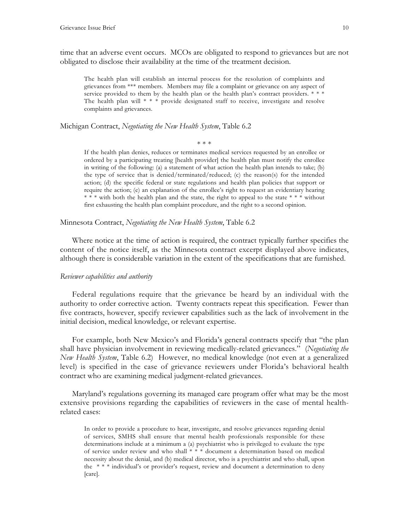time that an adverse event occurs. MCOs are obligated to respond to grievances but are not obligated to disclose their availability at the time of the treatment decision.

The health plan will establish an internal process for the resolution of complaints and grievances from \*\*\* members. Members may file a complaint or grievance on any aspect of service provided to them by the health plan or the health plan's contract providers.  $***$ The health plan will \* \* \* provide designated staff to receive, investigate and resolve complaints and grievances.

Michigan Contract, *Negotiating the New Health System*, Table 6.2

\* \* \*

If the health plan denies, reduces or terminates medical services requested by an enrollee or ordered by a participating treating [health provider] the health plan must notify the enrollee in writing of the following: (a) a statement of what action the health plan intends to take; (b) the type of service that is denied/terminated/reduced; (c) the reason(s) for the intended action; (d) the specific federal or state regulations and health plan policies that support or require the action; (e) an explanation of the enrollee's right to request an evidentiary hearing \* \* \* with both the health plan and the state, the right to appeal to the state \* \* \* without first exhausting the health plan complaint procedure, and the right to a second opinion.

Minnesota Contract, *Negotiating the New Health System*, Table 6.2

Where notice at the time of action is required, the contract typically further specifies the content of the notice itself, as the Minnesota contract excerpt displayed above indicates, although there is considerable variation in the extent of the specifications that are furnished.

#### *Reviewer capabilities and authority*

Federal regulations require that the grievance be heard by an individual with the authority to order corrective action. Twenty contracts repeat this specification. Fewer than five contracts, however, specify reviewer capabilities such as the lack of involvement in the initial decision, medical knowledge, or relevant expertise.

For example, both New Mexico's and Florida's general contracts specify that "the plan shall have physician involvement in reviewing medically-related grievances." (*Negotiating the New Health System*, Table 6.2) However, no medical knowledge (not even at a generalized level) is specified in the case of grievance reviewers under Florida's behavioral health contract who are examining medical judgment-related grievances.

Maryland's regulations governing its managed care program offer what may be the most extensive provisions regarding the capabilities of reviewers in the case of mental healthrelated cases:

In order to provide a procedure to hear, investigate, and resolve grievances regarding denial of services, SMHS shall ensure that mental health professionals responsible for these determinations include at a minimum a (a) psychiatrist who is privileged to evaluate the type of service under review and who shall \* \* \* document a determination based on medical necessity about the denial, and (b) medical director, who is a psychiatrist and who shall, upon the \* \* \* individual's or provider's request, review and document a determination to deny [care].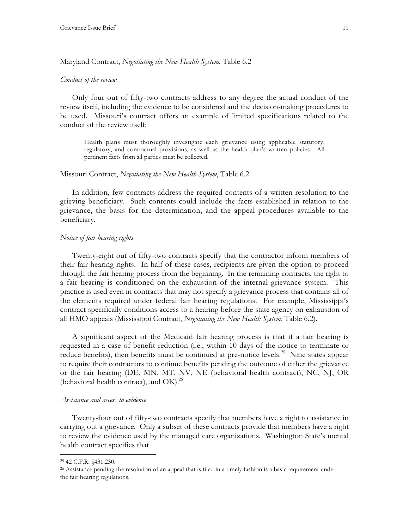## Maryland Contract, *Negotiating the New Health System*, Table 6.2

#### *Conduct of the review*

Only four out of fifty-two contracts address to any degree the actual conduct of the review itself, including the evidence to be considered and the decision-making procedures to be used. Missouri's contract offers an example of limited specifications related to the conduct of the review itself:

Health plans must thoroughly investigate each grievance using applicable statutory, regulatory, and contractual provisions, as well as the health plan's written policies. All pertinent facts from all parties must be collected.

#### Missouri Contract, *Negotiating the New Health System*, Table 6.2

In addition, few contracts address the required contents of a written resolution to the grieving beneficiary. Such contents could include the facts established in relation to the grievance, the basis for the determination, and the appeal procedures available to the beneficiary.

#### *Notice of fair hearing rights*

Twenty-eight out of fifty-two contracts specify that the contractor inform members of their fair hearing rights. In half of these cases, recipients are given the option to proceed through the fair hearing process from the beginning. In the remaining contracts, the right to a fair hearing is conditioned on the exhaustion of the internal grievance system. This practice is used even in contracts that may not specify a grievance process that contains all of the elements required under federal fair hearing regulations. For example, Mississippi's contract specifically conditions access to a hearing before the state agency on exhaustion of all HMO appeals (Mississippi Contract, *Negotiating the New Health System*, Table 6.2).

A significant aspect of the Medicaid fair hearing process is that if a fair hearing is requested in a case of benefit reduction (i.e., within 10 days of the notice to terminate or reduce benefits), then benefits must be continued at pre-notice levels.<sup>25</sup> Nine states appear to require their contractors to continue benefits pending the outcome of either the grievance or the fair hearing (DE, MN, MT, NV, NE (behavioral health contract), NC, NJ, OR (behavioral health contract), and OK). $^{26}$ 

#### *Assistance and access to evidence*

Twenty-four out of fifty-two contracts specify that members have a right to assistance in carrying out a grievance. Only a subset of these contracts provide that members have a right to review the evidence used by the managed care organizations. Washington State's mental health contract specifies that

 <sup>25 42</sup> C.F.R. §431.230.

<sup>&</sup>lt;sup>26</sup> Assistance pending the resolution of an appeal that is filed in a timely fashion is a basic requirement under the fair hearing regulations.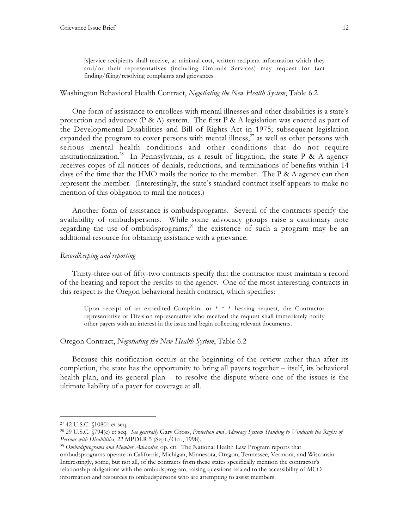[s]ervice recipients shall receive, at minimal cost, written recipient information which they and/or their representatives (including Ombuds Services) may request for fact finding/filing/resolving complaints and grievances.

## Washington Behavioral Health Contract, *Negotiating the New Health System*, Table 6.2

One form of assistance to enrollees with mental illnesses and other disabilities is a state's protection and advocacy (P & A) system. The first P & A legislation was enacted as part of the Developmental Disabilities and Bill of Rights Act in 1975; subsequent legislation expanded the program to cover persons with mental illness, $^{27}$  as well as other persons with serious mental health conditions and other conditions that do not require institutionalization.<sup>28</sup> In Pennsylvania, as a result of litigation, the state P & A agency receives copes of all notices of denials, reductions, and terminations of benefits within 14 days of the time that the HMO mails the notice to the member. The P & A agency can then represent the member. (Interestingly, the state's standard contract itself appears to make no mention of this obligation to mail the notices.)

Another form of assistance is ombudsprograms. Several of the contracts specify the availability of ombudspersons. While some advocacy groups raise a cautionary note regarding the use of ombudsprograms,<sup>29</sup> the existence of such a program may be an additional resource for obtaining assistance with a grievance.

## *Recordkeeping and reporting*

Thirty-three out of fifty-two contracts specify that the contractor must maintain a record of the hearing and report the results to the agency. One of the most interesting contracts in this respect is the Oregon behavioral health contract, which specifies:

Upon receipt of an expedited Complaint or \* \* \* hearing request, the Contractor representative or Division representative who received the request shall immediately notify other payers with an interest in the issue and begin collecting relevant documents.

#### Oregon Contract, *Negotiating the New Health System*, Table 6.2

Because this notification occurs at the beginning of the review rather than after its completion, the state has the opportunity to bring all payers together – itself, its behavioral health plan, and its general plan – to resolve the dispute where one of the issues is the ultimate liability of a payer for coverage at all.

 <sup>27 42</sup> U.S.C. §10801 et seq.

<sup>28 29</sup> U.S.C. §794(e) et seq. *See generally* Gary Gross, *Protection and Advocacy System Standing to Vindicate the Rights of Persons with Disabilities*, 22 MPDLR 5 (Sept./Oct., 1998).

<sup>29</sup> *Ombudsprograms and Member Advocates*, op. cit. The National Health Law Program reports that ombudsprograms operate in California, Michigan, Minnesota, Oregon, Tennessee, Vermont, and Wisconsin. Interestingly, some, but not all, of the contracts from these states specifically mention the contractor's relationship obligations with the ombudsprogram, raising questions related to the accessibility of MCO information and resources to ombudspersons who are attempting to assist members.